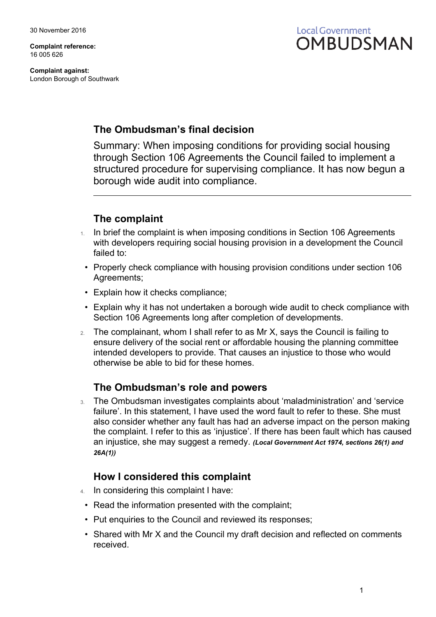**Complaint reference:** 16 005 626

**Complaint against:** London Borough of Southwark



## **The Ombudsman's final decision**

Summary: When imposing conditions for providing social housing through Section 106 Agreements the Council failed to implement a structured procedure for supervising compliance. It has now begun a borough wide audit into compliance.

### **The complaint**

- 1. In brief the complaint is when imposing conditions in Section 106 Agreements with developers requiring social housing provision in a development the Council failed to:
- Properly check compliance with housing provision conditions under section 106 Agreements;
- Explain how it checks compliance;
- Explain why it has not undertaken a borough wide audit to check compliance with Section 106 Agreements long after completion of developments.
- 2. The complainant, whom I shall refer to as Mr X, says the Council is failing to ensure delivery of the social rent or affordable housing the planning committee intended developers to provide. That causes an injustice to those who would otherwise be able to bid for these homes.

#### **The Ombudsman's role and powers**

3. The Ombudsman investigates complaints about 'maladministration' and 'service failure'. In this statement, I have used the word fault to refer to these. She must also consider whether any fault has had an adverse impact on the person making the complaint. I refer to this as 'injustice'. If there has been fault which has caused an injustice, she may suggest a remedy. *(Local Government Act 1974, sections 26(1) and 26A(1))*

#### **How I considered this complaint**

- 4. In considering this complaint I have:
	- Read the information presented with the complaint;
	- Put enquiries to the Council and reviewed its responses:
	- Shared with Mr X and the Council my draft decision and reflected on comments received.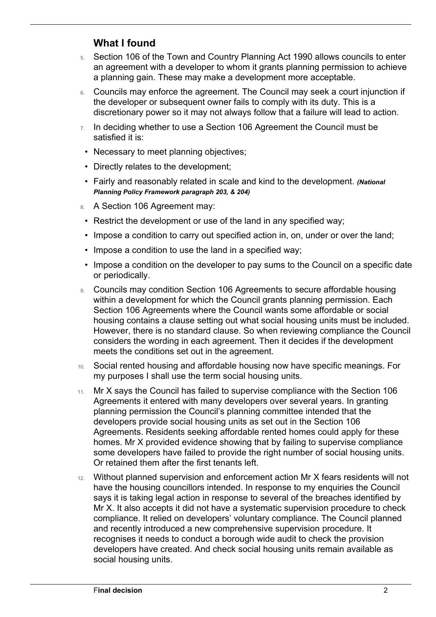## **What I found**

 $\overline{a}$ 

- 5. Section 106 of the Town and Country Planning Act 1990 allows councils to enter an agreement with a developer to whom it grants planning permission to achieve a planning gain. These may make a development more acceptable.
- 6. Councils may enforce the agreement. The Council may seek a court injunction if the developer or subsequent owner fails to comply with its duty. This is a discretionary power so it may not always follow that a failure will lead to action.
- $7.$  In deciding whether to use a Section 106 Agreement the Council must be satisfied it is:
- Necessary to meet planning objectives;
- Directly relates to the development;
- Fairly and reasonably related in scale and kind to the development. *(National Planning Policy Framework paragraph 203, & 204)*
- 8. A Section 106 Agreement may:
	- Restrict the development or use of the land in any specified way;
	- Impose a condition to carry out specified action in, on, under or over the land;
	- Impose a condition to use the land in a specified way;
	- Impose a condition on the developer to pay sums to the Council on a specific date or periodically.
- 9. Councils may condition Section 106 Agreements to secure affordable housing within a development for which the Council grants planning permission. Each Section 106 Agreements where the Council wants some affordable or social housing contains a clause setting out what social housing units must be included. However, there is no standard clause. So when reviewing compliance the Council considers the wording in each agreement. Then it decides if the development meets the conditions set out in the agreement.
- 10. Social rented housing and affordable housing now have specific meanings. For my purposes I shall use the term social housing units.
- 11. Mr X says the Council has failed to supervise compliance with the Section 106 Agreements it entered with many developers over several years. In granting planning permission the Council's planning committee intended that the developers provide social housing units as set out in the Section 106 Agreements. Residents seeking affordable rented homes could apply for these homes. Mr X provided evidence showing that by failing to supervise compliance some developers have failed to provide the right number of social housing units. Or retained them after the first tenants left.
- 12. Without planned supervision and enforcement action Mr X fears residents will not have the housing councillors intended. In response to my enquiries the Council says it is taking legal action in response to several of the breaches identified by Mr X. It also accepts it did not have a systematic supervision procedure to check compliance. It relied on developers' voluntary compliance. The Council planned and recently introduced a new comprehensive supervision procedure. It recognises it needs to conduct a borough wide audit to check the provision developers have created. And check social housing units remain available as social housing units.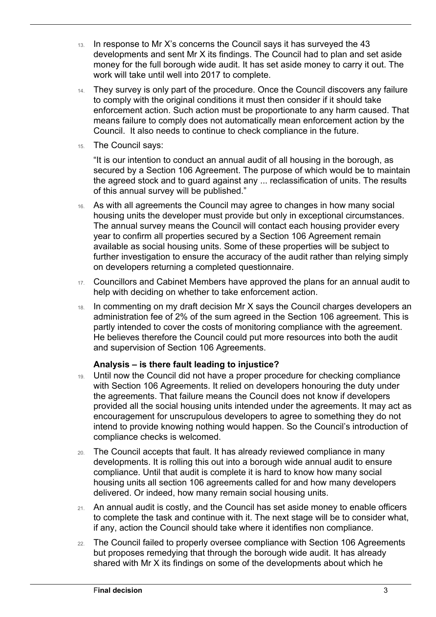- 13. In response to Mr X's concerns the Council says it has surveyed the 43 developments and sent Mr X its findings. The Council had to plan and set aside money for the full borough wide audit. It has set aside money to carry it out. The work will take until well into 2017 to complete.
- 14. They survey is only part of the procedure. Once the Council discovers any failure to comply with the original conditions it must then consider if it should take enforcement action. Such action must be proportionate to any harm caused. That means failure to comply does not automatically mean enforcement action by the Council. It also needs to continue to check compliance in the future.
- 15. The Council says:

 $\overline{a}$ 

"It is our intention to conduct an annual audit of all housing in the borough, as secured by a Section 106 Agreement. The purpose of which would be to maintain the agreed stock and to guard against any ... reclassification of units. The results of this annual survey will be published."

- 16. As with all agreements the Council may agree to changes in how many social housing units the developer must provide but only in exceptional circumstances. The annual survey means the Council will contact each housing provider every year to confirm all properties secured by a Section 106 Agreement remain available as social housing units. Some of these properties will be subject to further investigation to ensure the accuracy of the audit rather than relying simply on developers returning a completed questionnaire.
- 17. Councillors and Cabinet Members have approved the plans for an annual audit to help with deciding on whether to take enforcement action.
- 18. In commenting on my draft decision Mr X says the Council charges developers an administration fee of 2% of the sum agreed in the Section 106 agreement. This is partly intended to cover the costs of monitoring compliance with the agreement. He believes therefore the Council could put more resources into both the audit and supervision of Section 106 Agreements.

#### **Analysis – is there fault leading to injustice?**

- 19. Until now the Council did not have a proper procedure for checking compliance with Section 106 Agreements. It relied on developers honouring the duty under the agreements. That failure means the Council does not know if developers provided all the social housing units intended under the agreements. It may act as encouragement for unscrupulous developers to agree to something they do not intend to provide knowing nothing would happen. So the Council's introduction of compliance checks is welcomed.
- 20. The Council accepts that fault. It has already reviewed compliance in many developments. It is rolling this out into a borough wide annual audit to ensure compliance. Until that audit is complete it is hard to know how many social housing units all section 106 agreements called for and how many developers delivered. Or indeed, how many remain social housing units.
- 21. An annual audit is costly, and the Council has set aside money to enable officers to complete the task and continue with it. The next stage will be to consider what, if any, action the Council should take where it identifies non compliance.
- 22. The Council failed to properly oversee compliance with Section 106 Agreements but proposes remedying that through the borough wide audit. It has already shared with Mr X its findings on some of the developments about which he